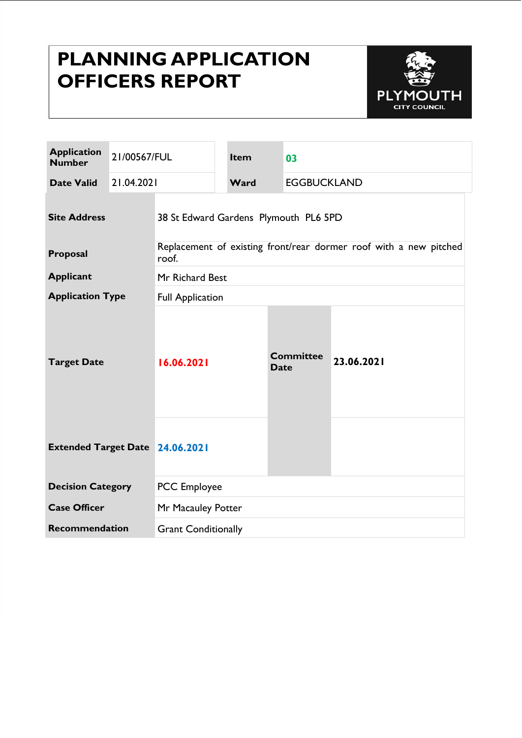# **PLANNING APPLICATION OFFICERS REPORT**



| <b>Application</b><br><b>Number</b>    | 21/00567/FUL |                                                                            | Item | 03                              |                    |  |
|----------------------------------------|--------------|----------------------------------------------------------------------------|------|---------------------------------|--------------------|--|
| <b>Date Valid</b>                      | 21.04.2021   |                                                                            | Ward |                                 | <b>EGGBUCKLAND</b> |  |
| <b>Site Address</b>                    |              | 38 St Edward Gardens Plymouth PL6 5PD                                      |      |                                 |                    |  |
| Proposal                               |              | Replacement of existing front/rear dormer roof with a new pitched<br>roof. |      |                                 |                    |  |
| <b>Applicant</b>                       |              | Mr Richard Best                                                            |      |                                 |                    |  |
| <b>Application Type</b>                |              | <b>Full Application</b>                                                    |      |                                 |                    |  |
| <b>Target Date</b>                     |              | 16.06.2021                                                                 |      | <b>Committee</b><br><b>Date</b> | 23.06.2021         |  |
| <b>Extended Target Date 24.06.2021</b> |              |                                                                            |      |                                 |                    |  |
| <b>Decision Category</b>               |              | <b>PCC</b> Employee                                                        |      |                                 |                    |  |
| <b>Case Officer</b>                    |              | Mr Macauley Potter                                                         |      |                                 |                    |  |
| Recommendation                         |              | <b>Grant Conditionally</b>                                                 |      |                                 |                    |  |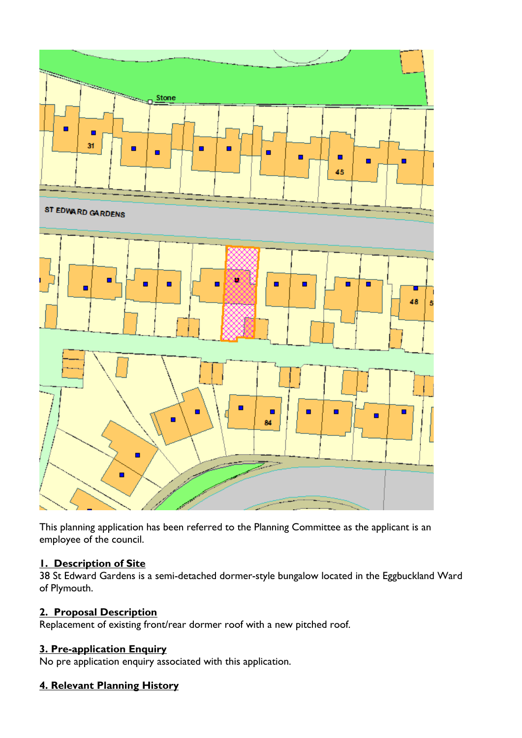

This planning application has been referred to the Planning Committee as the applicant is an employee of the council.

#### **1. Description of Site**

38 St Edward Gardens is a semi-detached dormer-style bungalow located in the Eggbuckland Ward of Plymouth.

#### **2. Proposal Description**

Replacement of existing front/rear dormer roof with a new pitched roof.

#### **3. Pre-application Enquiry**

No pre application enquiry associated with this application.

## **4. Relevant Planning History**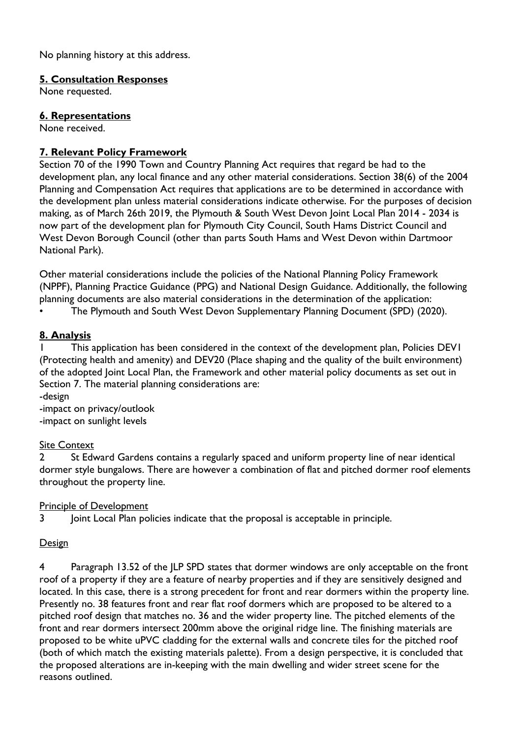No planning history at this address.

#### **5. Consultation Responses**

None requested.

#### **6. Representations**

None received.

## **7. Relevant Policy Framework**

Section 70 of the 1990 Town and Country Planning Act requires that regard be had to the development plan, any local finance and any other material considerations. Section 38(6) of the 2004 Planning and Compensation Act requires that applications are to be determined in accordance with the development plan unless material considerations indicate otherwise. For the purposes of decision making, as of March 26th 2019, the Plymouth & South West Devon Joint Local Plan 2014 - 2034 is now part of the development plan for Plymouth City Council, South Hams District Council and West Devon Borough Council (other than parts South Hams and West Devon within Dartmoor National Park).

Other material considerations include the policies of the National Planning Policy Framework (NPPF), Planning Practice Guidance (PPG) and National Design Guidance. Additionally, the following planning documents are also material considerations in the determination of the application:

• The Plymouth and South West Devon Supplementary Planning Document (SPD) (2020).

## **8. Analysis**

1 This application has been considered in the context of the development plan, Policies DEV1 (Protecting health and amenity) and DEV20 (Place shaping and the quality of the built environment) of the adopted Joint Local Plan, the Framework and other material policy documents as set out in Section 7. The material planning considerations are:

-design

-impact on privacy/outlook -impact on sunlight levels

#### Site Context

2 St Edward Gardens contains a regularly spaced and uniform property line of near identical dormer style bungalows. There are however a combination of flat and pitched dormer roof elements throughout the property line.

Principle of Development

3 Joint Local Plan policies indicate that the proposal is acceptable in principle.

#### Design

4 Paragraph 13.52 of the JLP SPD states that dormer windows are only acceptable on the front roof of a property if they are a feature of nearby properties and if they are sensitively designed and located. In this case, there is a strong precedent for front and rear dormers within the property line. Presently no. 38 features front and rear flat roof dormers which are proposed to be altered to a pitched roof design that matches no. 36 and the wider property line. The pitched elements of the front and rear dormers intersect 200mm above the original ridge line. The finishing materials are proposed to be white uPVC cladding for the external walls and concrete tiles for the pitched roof (both of which match the existing materials palette). From a design perspective, it is concluded that the proposed alterations are in-keeping with the main dwelling and wider street scene for the reasons outlined.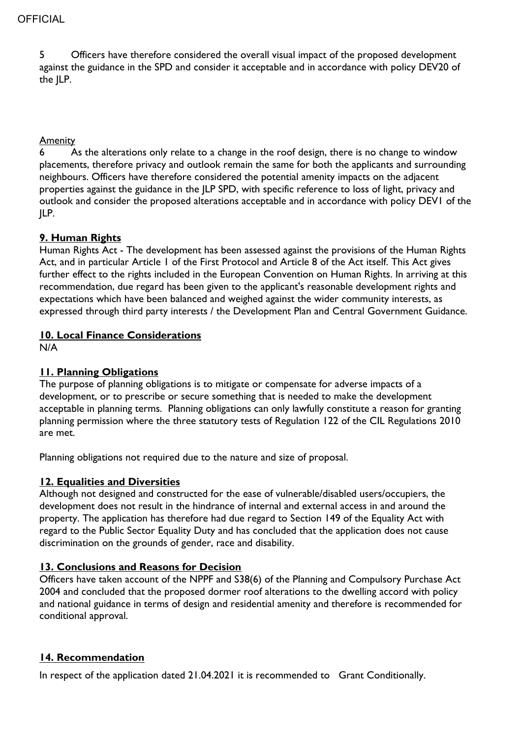5 Officers have therefore considered the overall visual impact of the proposed development against the guidance in the SPD and consider it acceptable and in accordance with policy DEV20 of the JLP.

#### Amenity

6 As the alterations only relate to a change in the roof design, there is no change to window placements, therefore privacy and outlook remain the same for both the applicants and surrounding neighbours. Officers have therefore considered the potential amenity impacts on the adjacent properties against the guidance in the JLP SPD, with specific reference to loss of light, privacy and outlook and consider the proposed alterations acceptable and in accordance with policy DEV1 of the JLP.

## **9. Human Rights**

Human Rights Act - The development has been assessed against the provisions of the Human Rights Act, and in particular Article 1 of the First Protocol and Article 8 of the Act itself. This Act gives further effect to the rights included in the European Convention on Human Rights. In arriving at this recommendation, due regard has been given to the applicant's reasonable development rights and expectations which have been balanced and weighed against the wider community interests, as expressed through third party interests / the Development Plan and Central Government Guidance.

## **10. Local Finance Considerations**

N/A

## **11. Planning Obligations**

The purpose of planning obligations is to mitigate or compensate for adverse impacts of a development, or to prescribe or secure something that is needed to make the development acceptable in planning terms. Planning obligations can only lawfully constitute a reason for granting planning permission where the three statutory tests of Regulation 122 of the CIL Regulations 2010 are met.

Planning obligations not required due to the nature and size of proposal.

#### **12. Equalities and Diversities**

Although not designed and constructed for the ease of vulnerable/disabled users/occupiers, the development does not result in the hindrance of internal and external access in and around the property. The application has therefore had due regard to Section 149 of the Equality Act with regard to the Public Sector Equality Duty and has concluded that the application does not cause discrimination on the grounds of gender, race and disability.

## **13. Conclusions and Reasons for Decision**

Officers have taken account of the NPPF and S38(6) of the Planning and Compulsory Purchase Act 2004 and concluded that the proposed dormer roof alterations to the dwelling accord with policy and national guidance in terms of design and residential amenity and therefore is recommended for conditional approval.

#### **14. Recommendation**

In respect of the application dated 21.04.2021 it is recommended to Grant Conditionally.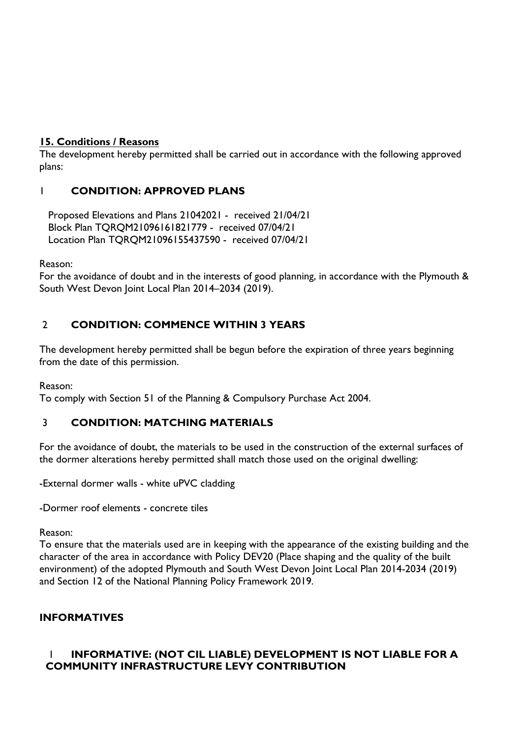## **15. Conditions / Reasons**

The development hereby permitted shall be carried out in accordance with the following approved plans:

## 1 **CONDITION: APPROVED PLANS**

 Proposed Elevations and Plans 21042021 - received 21/04/21 Block Plan TQRQM21096161821779 - received 07/04/21 Location Plan TQRQM21096155437590 - received 07/04/21

Reason:

For the avoidance of doubt and in the interests of good planning, in accordance with the Plymouth & South West Devon Joint Local Plan 2014–2034 (2019).

## 2 **CONDITION: COMMENCE WITHIN 3 YEARS**

The development hereby permitted shall be begun before the expiration of three years beginning from the date of this permission.

Reason:

To comply with Section 51 of the Planning & Compulsory Purchase Act 2004.

## 3 **CONDITION: MATCHING MATERIALS**

For the avoidance of doubt, the materials to be used in the construction of the external surfaces of the dormer alterations hereby permitted shall match those used on the original dwelling:

-External dormer walls - white uPVC cladding

-Dormer roof elements - concrete tiles

Reason:

To ensure that the materials used are in keeping with the appearance of the existing building and the character of the area in accordance with Policy DEV20 (Place shaping and the quality of the built environment) of the adopted Plymouth and South West Devon Joint Local Plan 2014-2034 (2019) and Section 12 of the National Planning Policy Framework 2019.

## **INFORMATIVES**

## 1 **INFORMATIVE: (NOT CIL LIABLE) DEVELOPMENT IS NOT LIABLE FOR A COMMUNITY INFRASTRUCTURE LEVY CONTRIBUTION**